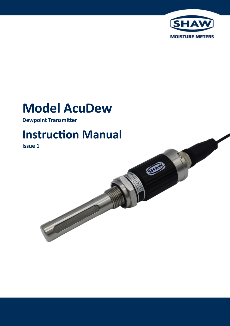

# **Model AcuDew**

**Dewpoint Transmitter**

# **Instruction Manual**

**Issue 1**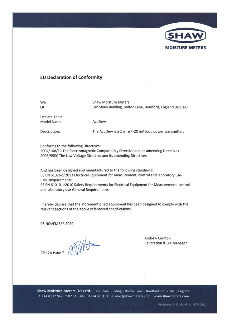

#### **EU Declaration of Conformity**

We Of

Shaw Moisture Meters Len Shaw Building, Bolton Lane, Bradford, England BD2 1AF

Declare That: Model Name:

AcuDew

Description:

The AcuDew is a 2 wire 4-20 mA loop power transmitter.

Conforms to the following Directives: 2004/108/EC The Electromagnetic Compatibility Directive and its amending Directives 2006/95EC The Low Voltage Directive and its amending Directives

And has been designed and manufactured to the following standards: BS EN 61326-1:2013 Electrical Equipment for measurement, control and laboratory use-**EMC Requirements** BS EN 61010-1:2010 Safety Requirements for Electrical Equipment for Measurement, control and laboratory use-General Requirements

I hereby declare that the aforementioned equipment has been designed to comply with the relevant sections of the above referenced specifications.

03 NOVEMBER 2020

CP 12A Issue 7

Andrew Coulton **Calibration & QA Manager** 

Shaw Moisture Meters (UK) Ltd. Len Shaw Building | Bolton Lane | Bradford | BD2 1AF | England t. +44 (0)1274 733582 | f. +44 (0)1274 370151 | e. mail@shawmeters.com | www.shawmeters.com

Registered in England No. 02730480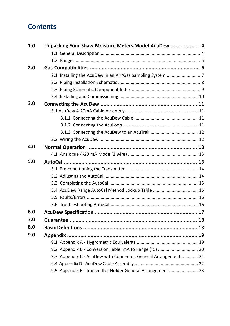# <span id="page-2-0"></span>**Contents**

| 1.0 | Unpacking Your Shaw Moisture Meters Model AcuDew  4             |  |
|-----|-----------------------------------------------------------------|--|
|     |                                                                 |  |
|     |                                                                 |  |
| 2.0 |                                                                 |  |
|     |                                                                 |  |
|     |                                                                 |  |
|     |                                                                 |  |
|     |                                                                 |  |
| 3.0 |                                                                 |  |
|     |                                                                 |  |
|     |                                                                 |  |
|     |                                                                 |  |
|     |                                                                 |  |
|     |                                                                 |  |
| 4.0 |                                                                 |  |
|     |                                                                 |  |
| 5.0 |                                                                 |  |
|     |                                                                 |  |
|     |                                                                 |  |
|     |                                                                 |  |
|     | 5.4 AcuDew Range AutoCal Method Lookup Table  16                |  |
|     |                                                                 |  |
|     |                                                                 |  |
| 6.0 |                                                                 |  |
| 7.0 |                                                                 |  |
| 8.0 |                                                                 |  |
| 9.0 |                                                                 |  |
|     |                                                                 |  |
|     | 9.2 Appendix B - Conversion Table: mA to Range (°C)  20         |  |
|     | 9.3 Appendix C - AcuDew with Connector, General Arrangement  21 |  |
|     |                                                                 |  |
|     | 9.5 Appendix E - Transmitter Holder General Arrangement  23     |  |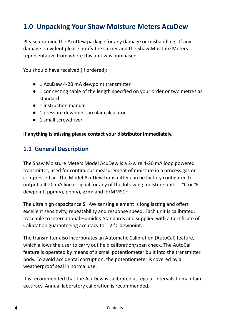# <span id="page-3-0"></span>**1.0 Unpacking Your Shaw Moisture Meters AcuDew**

Please examine the AcuDew package for any damage or mishandling. If any damage is evident please notify the carrier and the Shaw Moisture Meters representative from where this unit was purchased.

You should have received (if ordered):

- 1 AcuDew 4-20 mA dewpoint transmitter
- 1 connecting cable of the length specified on your order or two metres as standard
- 1 instruction manual
- 1 pressure dewpoint circular calculator
- 1 small screwdriver

#### **If anything is missing please contact your distributor immediately.**

### **1.1 General Description**

The Shaw Moisture Meters Model AcuDew is a 2-wire 4-20 mA loop powered transmitter, used for continuous measurement of moisture in a process gas or compressed air. The Model AcuDew transmitter can be factory configured to output a 4-20 mA linear signal for any of the following moisture units: - °C or °F dewpoint, ppm(v), ppb(v), g/m3 and lb/MMSCF.

The ultra high capacitance SHAW sensing element is long lasting and offers excellent sensitivity, repeatability and response speed. Each unit is calibrated, traceable to International Humidity Standards and supplied with a Certificate of Calibration guaranteeing accuracy to  $\pm$  2 °C dewpoint.

The transmitter also incorporates an Automatic Calibration (AutoCal) feature, which allows the user to carry out field calibration/span check. The AutoCal feature is operated by means of a small potentiometer built into the transmitter body. To avoid accidental corruption, the potentiometer is covered by a weatherproof seal in normal use.

It is recommended that the AcuDew is calibrated at regular intervals to maintain accuracy. Annual laboratory calibration is recommended.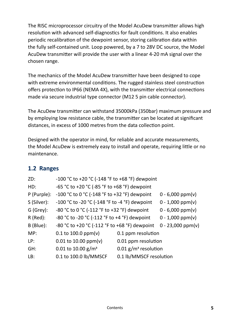<span id="page-4-0"></span>The RISC microprocessor circuitry of the Model AcuDew transmitter allows high resolution with advanced self-diagnostics for fault conditions. It also enables periodic recalibration of the dewpoint sensor, storing calibration data within the fully self-contained unit. Loop powered, by a 7 to 28V DC source, the Model AcuDew transmitter will provide the user with a linear 4-20 mA signal over the chosen range.

The mechanics of the Model AcuDew transmitter have been designed to cope with extreme environmental conditions. The rugged stainless steel construction offers protection to IP66 (NEMA 4X), with the transmitter electrical connections made via secure industrial type connector (M12 5 pin cable connector).

The AcuDew transmitter can withstand 35000kPa (350bar) maximum pressure and by employing low resistance cable, the transmitter can be located at significant distances, in excess of 1000 metres from the data collection point.

Designed with the operator in mind, for reliable and accurate measurements, the Model AcuDew is extremely easy to install and operate, requiring little or no maintenance.

### **1.2 Ranges**

| ZD:         | -100 °C to +20 °C (-148 °F to +68 °F) dewpoint |                                    |                     |
|-------------|------------------------------------------------|------------------------------------|---------------------|
| HD:         | -65 °C to +20 °C (-85 °F to +68 °F) dewpoint   |                                    |                     |
| P (Purple): | -100 °C to 0 °C (-148 °F to +32 °F) dewpoint   |                                    | $0 - 6,000$ ppm(v)  |
| S (Silver): | -100 °C to -20 °C (-148 °F to -4 °F) dewpoint  |                                    | $0 - 1,000$ ppm(v)  |
| G (Grey):   | -80 °C to 0 °C (-112 °F to +32 °F) dewpoint    |                                    | $0 - 6,000$ ppm(v)  |
| $R$ (Red):  | -80 °C to -20 °C (-112 °F to +4 °F) dewpoint   | $0 - 1,000$ ppm(v)                 |                     |
| B (Blue):   | -80 °C to +20 °C (-112 °F to +68 °F) dewpoint  |                                    | $0 - 23,000$ ppm(v) |
| MP:         | $0.1$ to 100.0 ppm(v)                          | 0.1 ppm resolution                 |                     |
| LP:         | $0.01$ to 10.00 ppm(v)                         | 0.01 ppm resolution                |                     |
| GH:         | 0.01 to 10.00 $g/m^3$                          | $0.01$ g/m <sup>3</sup> resolution |                     |
| LB:         | 0.1 to 100.0 lb/MMSCF                          | 0.1 lb/MMSCF resolution            |                     |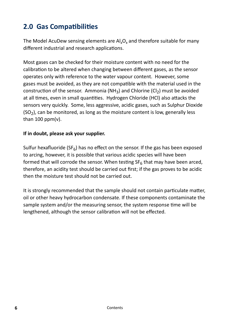# <span id="page-5-0"></span>**2.0 Gas Compatibilities**

The Model AcuDew sensing elements are Al, O<sub>2</sub> and therefore suitable for many different industrial and research applications.

Most gases can be checked for their moisture content with no need for the calibration to be altered when changing between different gases, as the sensor operates only with reference to the water vapour content. However, some gases must be avoided, as they are not compatible with the material used in the construction of the sensor. Ammonia (NH<sub>3</sub>) and Chlorine (CI<sub>2</sub>) must be avoided at all times, even in small quantities. Hydrogen Chloride (HCl) also attacks the sensors very quickly. Some, less aggressive, acidic gases, such as Sulphur Dioxide  $(SO<sub>2</sub>)$ , can be monitored, as long as the moisture content is low, generally less than  $100$  ppm(v).

#### **If in doubt, please ask your supplier.**

Sulfur hexafluoride ( $SF_6$ ) has no effect on the sensor. If the gas has been exposed to arcing, however, it is possible that various acidic species will have been formed that will corrode the sensor. When testing  $SF<sub>6</sub>$  that may have been arced, therefore, an acidity test should be carried out first; if the gas proves to be acidic then the moisture test should not be carried out.

It is strongly recommended that the sample should not contain particulate matter, oil or other heavy hydrocarbon condensate. If these components contaminate the sample system and/or the measuring sensor, the system response time will be lengthened, although the sensor calibration will not be effected.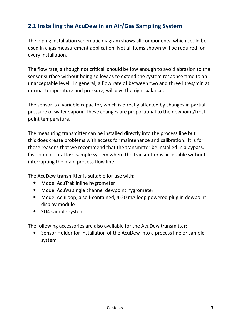# <span id="page-6-0"></span>**2.1 Installing the AcuDew in an Air/Gas Sampling System**

The piping installation schematic diagram shows all components, which could be used in a gas measurement application. Not all items shown will be required for every installation.

The flow rate, although not critical, should be low enough to avoid abrasion to the sensor surface without being so low as to extend the system response time to an unacceptable level. In general, a flow rate of between two and three litres/min at normal temperature and pressure, will give the right balance.

The sensor is a variable capacitor, which is directly affected by changes in partial pressure of water vapour. These changes are proportional to the dewpoint/frost point temperature.

The measuring transmitter can be installed directly into the process line but this does create problems with access for maintenance and calibration. It is for these reasons that we recommend that the transmitter be installed in a bypass, fast loop or total loss sample system where the transmitter is accessible without interrupting the main process flow line.

The AcuDew transmitter is suitable for use with:

- Model AcuTrak inline hygrometer
- Model AcuVu single channel dewpoint hygrometer •
- Model AcuLoop, a self-contained, 4-20 mA loop powered plug in dewpoint display module
- SU4 sample system

The following accessories are also available for the AcuDew transmitter:

Sensor Holder for installation of the AcuDew into a process line or sample system •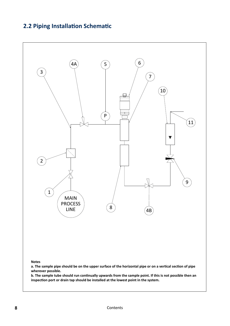#### <span id="page-7-0"></span>**2.2 Piping Installation Schematic**

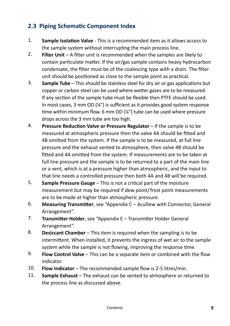### <span id="page-8-0"></span>**2.3 Piping Schematic Component Index**

- **Sample Isolation Valve** This is a recommended item as it allows access to the sample system without interrupting the main process line. 1.
- **Filter Unit** A filter unit is recommended when the samples are likely to contain particulate matter. If the air/gas sample contains heavy hydrocarbon condensate, the filter must be of the coalescing type with a drain. The filter unit should be positioned as close to the sample point as practical.  $2<sub>1</sub>$
- **Sample Tube** This should be stainless steel for dry air or gas applications but copper or carbon steel can be used where wetter gases are to be measured. If any section of the sample tube must be flexible then PTFE should be used. In most cases, 3 mm OD (1/8") is sufficient as it provides good system response time within minimum flow. 6 mm OD  $\frac{1}{4}$  tube can be used where pressure drops across the 3 mm tube are too high. 3.
- **Pressure Reduction Valve or Pressure Regulator** If the sample is to be measured at atmospheric pressure then the valve 4A should be fitted and 4B omitted from the system. If the sample is to be measured, at full line pressure and the exhaust vented to atmosphere, then valve 4B should be fitted and 4A omitted from the system. If measurements are to be taken at full line pressure and the sample is to be returned to a part of the main line or a vent, which is at a pressure higher than atmospheric, and the input to that line needs a controlled pressure then both 4A and 4B will be required. 4.
- **Sample Pressure Gauge** This is not a critical part of the moisture measurement but may be required if dew point/ frost point measurements are to be made at higher than atmospheric pressure. 5.
- **Measuring Transmitter**, see ["Appendix C AcuDew with Connector, General](#page-20-0)  [Arrangement"](#page-20-0). 6.
- **Transmitter Holder**, see ["Appendix E Transmitter Holder General](#page-22-0)  [Arrangement"](#page-22-0). 7.
- **Desiccant Chamber** This item is required when the sampling is to be intermittent. When installed, it prevents the ingress of wet air to the sample system while the sample is not flowing, improving the response time. 8.
- **Flow Control Valve** This can be a separate item or combined with the flow indicator. 9.
- **Flow Indicator** The recommended sample flow is 2-5 litres/min. 10.
- **Sample Exhaust**  The exhaust can be vented to atmosphere or returned to the process line as discussed above. 11.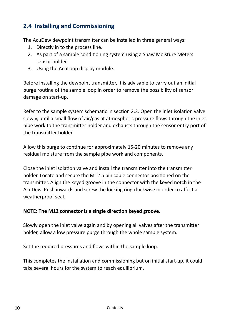# <span id="page-9-0"></span>**2.4 Installing and Commissioning**

The AcuDew dewpoint transmitter can be installed in three general ways:

- 1. Directly in to the process line.
- As part of a sample conditioning system using a Shaw Moisture Meters 2. sensor holder.
- Using the AcuLoop display module. 3.

Before installing the dewpoint transmitter, it is advisable to carry out an initial purge routine of the sample loop in order to remove the possibility of sensor damage on start-up.

Refer to the sample system schematic in [section 2.2.](#page-7-0) Open the inlet isolation valve slowly, until a small flow of air/gas at atmospheric pressure flows through the inlet pipe work to the transmitter holder and exhausts through the sensor entry port of the transmitter holder.

Allow this purge to continue for approximately 15-20 minutes to remove any residual moisture from the sample pipe work and components.

Close the inlet isolation valve and install the transmitter into the transmitter holder. Locate and secure the M12 5 pin cable connector positioned on the transmitter. Align the keyed groove in the connector with the keyed notch in the AcuDew. Push inwards and screw the locking ring clockwise in order to affect a weatherproof seal.

#### **NOTE: The M12 connector is a single direction keyed groove.**

Slowly open the inlet valve again and by opening all valves after the transmitter holder, allow a low pressure purge through the whole sample system.

Set the required pressures and flows within the sample loop.

This completes the installation and commissioning but on initial start-up, it could take several hours for the system to reach equilibrium.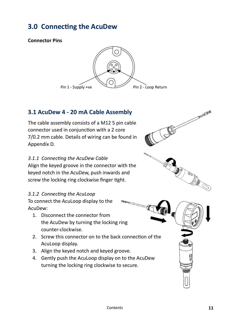# <span id="page-10-0"></span>**3.0 Connecting the AcuDew**

#### **Connector Pins**



# **3.1 AcuDew 4 - 20 mA Cable Assembly**

The cable assembly consists of a M12 5 pin cable connector used in conjunction with a 2 core 7/0.2 mm cable. Details of wiring can be found in [Appendix D.](#page-21-0)

#### *3.1.1 Connecting the AcuDew Cable*

Align the keyed groove in the connector with the keyed notch in the AcuDew, push inwards and screw the locking ring clockwise finger tight.

#### *3.1.2 Connecting the AcuLoop*

To connect the AcuLoop display to the AcuDew:

- 1. Disconnect the connector from the AcuDew by turning the locking ring counter-clockwise.
- 2. Screw this connector on to the back connection of the AcuLoop display.
- 3. Align the keyed notch and keyed groove.
- 4. Gently push the AcuLoop display on to the AcuDew turning the locking ring clockwise to secure.

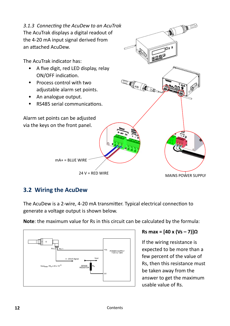<span id="page-11-0"></span>

#### **3.2 Wiring the AcuDew**

The AcuDew is a 2-wire, 4-20 mA transmitter. Typical electrical connection to generate a voltage output is shown below.

**Note**: the maximum value for Rs in this circuit can be calculated by the formula:



#### **Rs max = [40 x (Vs – 7)]Ω**

If the wiring resistance is expected to be more than a few percent of the value of Rs, then this resistance must be taken away from the answer to get the maximum usable value of Rs.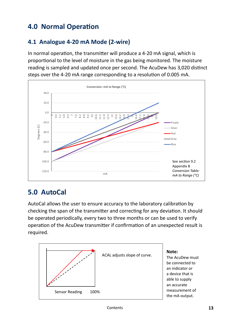# <span id="page-12-0"></span>**4.0 Normal Operation**

# **4.1 Analogue 4-20 mA Mode (2-wire)**

In normal operation, the transmitter will produce a 4-20 mA signal, which is proportional to the level of moisture in the gas being monitored. The moisture reading is sampled and updated once per second. The AcuDew has 3,020 distinct steps over the 4-20 mA range corresponding to a resolution of 0.005 mA.



# **5.0 AutoCal**

AutoCal allows the user to ensure accuracy to the laboratory calibration by checking the span of the transmitter and correcting for any deviation. It should be operated periodically, every two to three months or can be used to verify operation of the AcuDew transmitter if confirmation of an unexpected result is required.

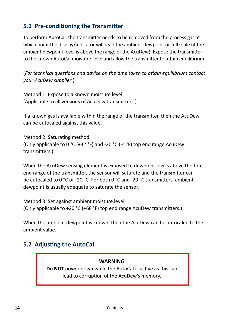## <span id="page-13-0"></span>**5.1 Pre-conditioning the Transmitter**

To perform AutoCal, the transmitter needs to be removed from the process gas at which point the display/indicator will read the ambient dewpoint or full scale (if the ambient dewpoint level is above the range of the AcuDew). Expose the transmitter to the known AutoCal moisture level and allow the transmitter to attain equilibrium.

(*For technical questions and advice on the time taken to attain equilibrium contact your AcuDew supplier*.)

Method 1: Expose to a known moisture level (Applicable to all versions of AcuDew transmitters.)

If a known gas is available within the range of the transmitter, then the AcuDew can be autocaled against this value.

Method 2: Saturating method (Only applicable to 0 °C (+32 °F) and -20 °C (-4 °F) top end range AcuDew transmitters.)

When the AcuDew sensing element is exposed to dewpoint levels above the top end range of the transmitter, the sensor will saturate and the transmitter can be autocaled to 0 °C or -20 °C. For both 0 °C and -20 °C transmitters, ambient dewpoint is usually adequate to saturate the sensor.

Method 3: Set against ambient moisture level (Only applicable to +20 °C (+68 °F) top end range AcuDew transmitters.)

When the ambient dewpoint is known, then the AcuDew can be autocaled to the ambient value.

### **5.2 Adjusting the AutoCal**

#### **WARNING**

**Do NOT** power down while the AutoCal is active as this can lead to corruption of the AcuDew's memory.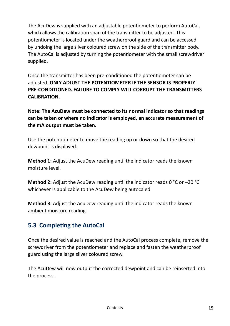<span id="page-14-0"></span>The AcuDew is supplied with an adjustable potentiometer to perform AutoCal, which allows the calibration span of the transmitter to be adjusted. This potentiometer is located under the weatherproof guard and can be accessed by undoing the large silver coloured screw on the side of the transmitter body. The AutoCal is adjusted by turning the potentiometer with the small screwdriver supplied.

Once the transmitter has been pre-conditioned the potentiometer can be adjusted. **ONLY ADJUST THE POTENTIOMETER IF THE SENSOR IS PROPERLY PRE-CONDITIONED. FAILURE TO COMPLY WILL CORRUPT THE TRANSMITTERS CALIBRATION.** 

**Note: The AcuDew must be connected to its normal indicator so that readings can be taken or where no indicator is employed, an accurate measurement of the mA output must be taken.**

Use the potentiometer to move the reading up or down so that the desired dewpoint is displayed.

**Method 1:** Adjust the AcuDew reading until the indicator reads the known moisture level.

**Method 2:** Adjust the AcuDew reading until the indicator reads 0 °C or –20 °C whichever is applicable to the AcuDew being autocaled.

**Method 3:** Adjust the AcuDew reading until the indicator reads the known ambient moisture reading.

# **5.3 Completing the AutoCal**

Once the desired value is reached and the AutoCal process complete, remove the screwdriver from the potentiometer and replace and fasten the weatherproof guard using the large silver coloured screw.

The AcuDew will now output the corrected dewpoint and can be reinserted into the process.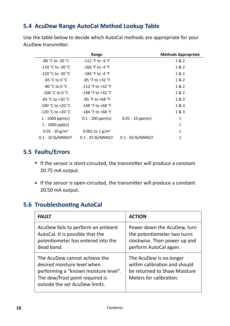## <span id="page-15-0"></span>**5.4 AcuDew Range AutoCal Method Lookup Table**

Use the table below to decide which AutoCal methods are appropriate for your AcuDew transmitter.

|                              | Range                         |                    | <b>Methods Appropriate</b> |
|------------------------------|-------------------------------|--------------------|----------------------------|
| -80 °C to -20 °C             | $-112$ °F to -4 °F            |                    | 1&2                        |
| -110 °C to -20 °C            | -166 °F to -4 °F              |                    | 1&2                        |
| $-120 °C$ to $-20 °C$        | $-184$ °F to $-4$ °F          |                    | 1&2                        |
| $-65 °C$ to 0 $°C$           | $-85$ °F to $+32$ °F          |                    | 1&2                        |
| -80 °C to 0 °C               | $-112$ °F to $+32$ °F         |                    | 1&2                        |
| $-100 °C$ to 0 $°C$          | $-148$ °F to $+32$ °F         |                    | 1&2                        |
| $-65 °C$ to $+20 °C$         | $-85$ °F to $+68$ °F          |                    | 1&3                        |
| $-100$ °C to +20 °C          | $-148$ °F to +68 °F           |                    | 1&3                        |
| $-120 °C$ to $+20 °C$        | $-184$ °F to +68 °F           |                    | 1&3                        |
| $1 - 1000$ ppm(v)            | $0.1 - 100$ ppm(v)            | $0.01 - 10$ ppm(v) | 1                          |
| $1 - 1000$ ppb(v)            |                               |                    | 1                          |
| $0.01 - 10$ g/m <sup>3</sup> | $0.001$ to 1 g/m <sup>3</sup> |                    | 1                          |
| 0.1 - 10 lb/MMSCF            | $0.1 - 25$ lb/MMSCF           | 0.1 - 50 lb/MMSCF  | 1                          |

### **5.5 Faults/Errors**

- If the sensor is short-circuited, the transmitter will produce a constant 20.75 mA output.
- If the sensor is open-circuited, the transmitter will produce a constant 20.50 mA output.

### **5.6 Troubleshooting AutoCal**

| <b>FAULT</b>                                                                                                                                                              | <b>ACTION</b>                                                                                                        |
|---------------------------------------------------------------------------------------------------------------------------------------------------------------------------|----------------------------------------------------------------------------------------------------------------------|
| AcuDew fails to perform an ambient<br>AutoCal. It is possible that the<br>potentiometer has entered into the<br>dead band.                                                | Power down the AcuDew, turn<br>the potentiometer two turns<br>clockwise. Then power up and<br>perform AutoCal again. |
| The AcuDew cannot achieve the<br>desired moisture level when<br>performing a "known moisture level".<br>The dew/frost point required is<br>outside the set AcuDew limits. | The AcuDew is no longer<br>within calibration and should<br>be returned to Shaw Moisture<br>Meters for calibration.  |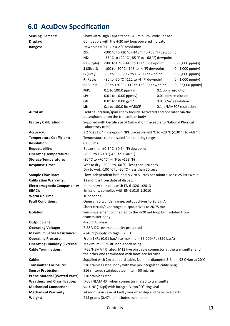# <span id="page-16-0"></span>**6.0 AcuDew Specification**

| <b>Sensing Element:</b>               | Shaw Ultra High Capacitance - Aluminium Oxide Sensor                      |                                                                                                                            |                                                             |                    |  |  |  |  |
|---------------------------------------|---------------------------------------------------------------------------|----------------------------------------------------------------------------------------------------------------------------|-------------------------------------------------------------|--------------------|--|--|--|--|
| Display:                              | Compatible with the 4-20 mA loop powered indicator                        |                                                                                                                            |                                                             |                    |  |  |  |  |
| Ranges:                               |                                                                           | Dewpoint = $0.1 \degree C$ / 0.2 $\degree F$ resolution                                                                    |                                                             |                    |  |  |  |  |
|                                       | ZD:                                                                       | -100 °C to +20 °C (-148 °F to +68 °F) dewpoint                                                                             |                                                             |                    |  |  |  |  |
|                                       | HD:                                                                       | -65 °C to +20 °C (-85 °F to +68 °F) dewpoint                                                                               |                                                             |                    |  |  |  |  |
|                                       | P (Purple):                                                               | -100 to 0 °C (-148 to +32 °F) dewpoint<br>$0 - 6,000$ ppm(v)                                                               |                                                             |                    |  |  |  |  |
|                                       | S (Silver):                                                               | -100 to -20 °C (-148 to -4 °F) dewpoint                                                                                    |                                                             | $0 - 1,000$ ppm(v) |  |  |  |  |
|                                       | G (Grey):                                                                 |                                                                                                                            | -80 to 0 °C (-112 to +32 °F) dewpoint<br>$0 - 6,000$ ppm(v) |                    |  |  |  |  |
|                                       | $R$ (Red):                                                                | -80 to -20 °C (-112 to -4 °F) dewpoint                                                                                     |                                                             | $0 - 1,000$ ppm(v) |  |  |  |  |
|                                       | $B$ (Blue):                                                               | -80 to +20 °C (-112 to +68 °F) dewpoint<br>$0 - 23,000$ ppm(v)                                                             |                                                             |                    |  |  |  |  |
|                                       | MP:                                                                       | $0.1$ to 100.0 ppm(v)                                                                                                      | 0.1 ppm resolution                                          |                    |  |  |  |  |
|                                       | LP:                                                                       | $0.01$ to 10.00 ppm(v)<br>0.01 ppm resolution                                                                              |                                                             |                    |  |  |  |  |
|                                       | GH:                                                                       | 0.01 to 10.00 g/m <sup>3</sup><br>$0.01$ g/m <sup>3</sup> resolution                                                       |                                                             |                    |  |  |  |  |
|                                       | LB:                                                                       | 0.1 to 100.0 lb/MMSCF<br>0.1 lb/MMSCF resolution                                                                           |                                                             |                    |  |  |  |  |
| AutoCal:                              |                                                                           | Field calibration/span check facility. Activated and operated via the                                                      |                                                             |                    |  |  |  |  |
|                                       |                                                                           | potentiometer on the transmitter body                                                                                      |                                                             |                    |  |  |  |  |
| <b>Factory Calibration:</b>           | Laboratory (NPL)                                                          | Supplied with Certificate of Calibration traceable to National Physical                                                    |                                                             |                    |  |  |  |  |
| Accuracy:                             |                                                                           | ± 2 °C (±3.6 °F) dewpoint NPL traceable -90 °C to +20 °C (-130 °F to +68 °F)                                               |                                                             |                    |  |  |  |  |
| <b>Temperature Coefficient:</b>       |                                                                           | Temperature compensated for operating range                                                                                |                                                             |                    |  |  |  |  |
| <b>Resolution:</b>                    | 0.005 mA                                                                  |                                                                                                                            |                                                             |                    |  |  |  |  |
| Repeatability:                        |                                                                           | Better than ±0.3 °C (±0.54 °F) dewpoint                                                                                    |                                                             |                    |  |  |  |  |
| <b>Operating Temperature:</b>         |                                                                           | -20 °C to +60 °C (-4 °F to +140 °F)                                                                                        |                                                             |                    |  |  |  |  |
| <b>Storage Temperature:</b>           |                                                                           | -20 °C to +70 °C (-4 °F to +158 °F)                                                                                        |                                                             |                    |  |  |  |  |
| <b>Response Times:</b>                | Wet to dry: -20 °C to -60 °C - less than 120 secs                         |                                                                                                                            |                                                             |                    |  |  |  |  |
|                                       | Dry to wet: -100 °C to -20 °C - less than 20 secs                         |                                                                                                                            |                                                             |                    |  |  |  |  |
| <b>Sample Flow Rate:</b>              | Flow independent but ideally 2 to 5 litres per minute. Max: 25 litres/min |                                                                                                                            |                                                             |                    |  |  |  |  |
| <b>Calibration Warranty:</b>          | 12 months from date of dispatch                                           |                                                                                                                            |                                                             |                    |  |  |  |  |
| <b>Electromagnetic Compatibility</b>  | Immunity: complies with EN 61326-1:2013                                   |                                                                                                                            |                                                             |                    |  |  |  |  |
| (EMC):                                |                                                                           | Emissions: complies with EN 61010-1:2010                                                                                   |                                                             |                    |  |  |  |  |
| Warm Up Time:                         | 10 seconds                                                                |                                                                                                                            |                                                             |                    |  |  |  |  |
| <b>Fault Conditions:</b>              |                                                                           | Open circuit/under range: output drives to 20.5 mA                                                                         |                                                             |                    |  |  |  |  |
|                                       |                                                                           | Short circuit/over range: output drives to 20.75 mA                                                                        |                                                             |                    |  |  |  |  |
| Isolation:                            | transmitter body                                                          | Sensing element connected to the 4-20 mA loop but isolated from                                                            |                                                             |                    |  |  |  |  |
| <b>Output Signal:</b>                 | 4-20 mA Linear                                                            |                                                                                                                            |                                                             |                    |  |  |  |  |
| <b>Operating Voltage:</b>             |                                                                           | 7-28 V DC reverse polarity protected                                                                                       |                                                             |                    |  |  |  |  |
| <b>Maximum Series Resistance:</b>     |                                                                           | = $\{40 \times (\text{Supply Voltage} - 7)\}\Omega$                                                                        |                                                             |                    |  |  |  |  |
| <b>Operating Pressure:</b>            |                                                                           | From 1kPa (0.01 barA) to maximum 35,000kPa (350 barA)                                                                      |                                                             |                    |  |  |  |  |
| <b>Operating Humidity (External):</b> |                                                                           | Maximum - 95% RH non-condensing                                                                                            |                                                             |                    |  |  |  |  |
| <b>Cable Terminations:</b>            |                                                                           | IP66/NEMA 4X rated, M12 five pin cable connector at the transmitter and<br>the other end terminated with bootlace ferrules |                                                             |                    |  |  |  |  |
| Cable:                                |                                                                           | Supplied with 2m standard cable. Nominal diameter 3.4mm, 92 Ω/km at 20°C                                                   |                                                             |                    |  |  |  |  |
| <b>Transmitter Enclosure:</b>         |                                                                           | 316 stainless steel body with five pin integrated cable plug                                                               |                                                             |                    |  |  |  |  |
| <b>Sensor Protection:</b>             |                                                                           | 316 sintered stainless steel filter - 50 micron                                                                            |                                                             |                    |  |  |  |  |
| Probe Material (Wetted Parts):        | 316 stainless steel                                                       |                                                                                                                            |                                                             |                    |  |  |  |  |
| <b>Weatherproof Classification:</b>   | IP66 (NEMA 4X) when connector mated to transmitter                        |                                                                                                                            |                                                             |                    |  |  |  |  |
| <b>Mechanical Connection:</b>         |                                                                           | 3/4" UNF (16tpi) with integral Viton "O" ring seal                                                                         |                                                             |                    |  |  |  |  |
| <b>Mechanical Warranty:</b>           |                                                                           | 24 months in case of faulty workmanship and defective parts                                                                |                                                             |                    |  |  |  |  |
| Weight:                               | 215 grams (0.474 lb) includes connector                                   |                                                                                                                            |                                                             |                    |  |  |  |  |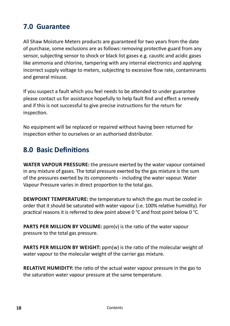# <span id="page-17-0"></span>**7.0 Guarantee**

All Shaw Moisture Meters products are guaranteed for two years from the date of purchase, some exclusions are as follows:removing protective guard from any sensor, subjecting sensor to shock or black list gases e.g. caustic and acidic gases like ammonia and chlorine, tampering with any internal electronics and applying incorrect supply voltage to meters, subjecting to excessive flow rate, contaminants and general misuse.

If you suspect a fault which you feel needs to be attended to under guarantee please contact us for assistance hopefully to help fault find and effect a remedy and if this is not successful to give precise instructions for the return for inspection.

No equipment will be replaced or repaired without having been returned for inspection either to ourselves or an authorised distributor.

# **8.0 Basic Definitions**

**WATER VAPOUR PRESSURE:** the pressure exerted by the water vapour contained in any mixture of gases. The total pressure exerted by the gas mixture is the sum of the pressures exerted by its components - including the water vapour. Water Vapour Pressure varies in direct proportion to the total gas.

**DEWPOINT TEMPERATURE:** the temperature to which the gas must be cooled in order that it should be saturated with water vapour (i.e. 100% relative humidity). For practical reasons it is referred to dew point above 0 °C and frost point below 0 °C.

**PARTS PER MILLION BY VOLUME:**  $ppm(v)$  is the ratio of the water vapour pressure to the total gas pressure.

**PARTS PER MILLION BY WEIGHT:**  $ppm(w)$  is the ratio of the molecular weight of water vapour to the molecular weight of the carrier gas mixture.

**RELATIVE HUMIDITY:** the ratio of the actual water vapour pressure in the gas to the saturation water vapour pressure at the same temperature.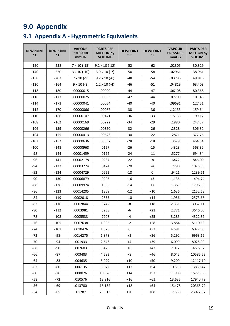# <span id="page-18-0"></span>**9.0 Appendix**

# **9.1 Appendix A - Hygrometric Equivalents**

| <b>DEWPOINT</b><br>° C | <b>DEWPOINT</b><br>°F | <b>VAPOUR</b><br><b>PRESSURE</b><br>mmHG | <b>PARTS PER</b><br><b>MILLION by</b><br><b>VOLUME</b> | <b>DEWPOINT</b><br>° C   | <b>DEWPOINT</b><br>°F | <b>VAPOUR</b><br><b>PRESSURE</b><br>mmHG | <b>PARTS PER</b><br><b>MILLION by</b><br><b>VOLUME</b> |
|------------------------|-----------------------|------------------------------------------|--------------------------------------------------------|--------------------------|-----------------------|------------------------------------------|--------------------------------------------------------|
| $-150$                 | $-238$                | $7 \times 10 (-15)$                      | $9.2 \times 10 (-12)$                                  | $-52$                    | -62                   | .02305                                   | 30.329                                                 |
| $-140$                 | $-220$                | $3 \times 10$ (-10)                      | $3.9 \times 10 (-7)$                                   | $-58$<br>$-50$<br>.02961 |                       | 38.961                                   |                                                        |
| $-130$                 | $-202$                | $7 \times 10 (-9)$                       | $9.2 \times 10 (-6)$                                   | $-54$<br>$-48$<br>.03786 |                       | 49.816                                   |                                                        |
| $-120$                 | $-164$                | $9 \times 10 (-8)$                       | $1.2 \times 10 (-4)$                                   | $-46$                    | -51                   | .04819                                   | 63.408                                                 |
| $-118$                 | $-180$                | .00000015                                | .00020                                                 | $-44$                    | $-47$                 | .06108                                   | 80.368                                                 |
| $-116$                 | $-177$                | .00000025                                | .00033                                                 | $-42$                    | $-44$                 | .07709                                   | 101.43                                                 |
| $-114$                 | $-173$                | .00000041                                | .00054                                                 | $-40$                    | $-40$                 | .09691                                   | 127.51                                                 |
| $-112$                 | $-170$                | .00000066                                | .00087                                                 | $-38$                    | -36                   | .12133                                   | 159.64                                                 |
| $-110$                 | $-166$                | .00000107                                | .00141                                                 | $-36$                    | -33                   | .15133                                   | 199.12                                                 |
| $-108$                 | $-162$                | .00000169                                | .00222                                                 | $-34$                    | $-29$                 | .1880                                    | 247.37                                                 |
| $-106$                 | $-159$                | .00000266                                | .00350                                                 | $-32$                    | $-26$                 | .2328                                    | 306.32                                                 |
| $-104$                 | $-155$                | .00000413                                | .00543                                                 | $-30$                    | $-22$                 | .2871                                    | 377.76                                                 |
| $-102$                 | $-152$                | .00000636                                | .00837                                                 | $-28$                    | $-18$                 | .3529                                    | 464.34                                                 |
| $-100$                 | $-148$                | .00000968                                | .0127                                                  | $-26$                    | $-15$                 | .4323                                    | 568.82                                                 |
| $-98$                  | $-144$                | .00001459                                | .0192                                                  | $-24$                    | $-11$                 | .5277                                    | 694.34                                                 |
| $-96$                  | $-141$                | .00002178                                | .0287                                                  | $-22$                    | -8                    | .6422                                    | 845.00                                                 |
| $-94$                  | $-137$                | .00003224                                | .0424                                                  | $-4$<br>$-20$            |                       | .7790                                    | 1025.00                                                |
| $-92$                  | $-134$                | .00004729                                | .0622                                                  | $-18$                    | 0                     | .9421                                    | 1239.61                                                |
| -90                    | $-130$                | .00006879                                | .0905                                                  | $-16$                    | $+3$                  | 1.136                                    | 1494.74                                                |
| -88                    | $-126$                | .00009924                                | .1305                                                  | $+7$<br>$-14$            |                       | 1.365                                    | 1796.05                                                |
| -86                    | $-123$                | .00014205                                | .1869                                                  | $-12$<br>$+10$<br>1.636  |                       | 2152.63                                  |                                                        |
| $-84$                  | $-119$                | .0002018                                 | .2655                                                  | $-10$                    | $+14$<br>1.956        |                                          | 2573.68                                                |
| -82                    | $-116$                | .0002844                                 | .3742                                                  | -8                       | $+18$                 | 2.331                                    | 3067.11                                                |
| $-80$                  | $-112$                | .0003981                                 | .5238                                                  | -6                       | $+21$                 | 2.771                                    | 3646.05                                                |
| $-78$                  | $-108$                | .0005533                                 | .7208                                                  | $-4$                     | $+25$                 | 3.285                                    | 4322.37                                                |
| $-76$                  | $-105$                | .0007638                                 | 1.005                                                  | $-2$                     | $+28$                 | 3.884                                    | 5110.53                                                |
| $-74$                  | $-101$                | .0010476                                 | 1.378                                                  | 0                        | $+32$                 | 4.581                                    | 6027.63                                                |
| $-72$                  | -98                   | .0014275                                 | 1.878                                                  | $+2$                     | $+36$                 | 5.292                                    | 6963.16                                                |
| $-70$                  | $-94$                 | .001933                                  | 2.543                                                  | $+4$                     | $+39$                 | 6.099                                    | 8025.00                                                |
| -68                    | $-90$                 | .002603                                  | 3.425                                                  | $+6$                     | $+43$                 | 7.012                                    | 9226.32                                                |
| -66                    | $-87$                 | .003483                                  | 4.583                                                  | $+8$                     | $+46$                 | 8.045                                    | 10585.53                                               |
| $-64$                  | -83                   | .004635                                  | 6.099                                                  | $+10$                    | $+50$                 | 9.209                                    | 12117.10                                               |
| $-62$                  | $-80$                 | .006135                                  | 8.072                                                  | $+12$<br>$+54$<br>10.518 |                       |                                          | 13839.47                                               |
| -60                    | $-76$                 | .008076                                  | 10.626                                                 | $+14$<br>+57<br>11.988   |                       |                                          | 15773.68                                               |
| $-58$                  | $-72$                 | .010576                                  | 13.916                                                 | $+16$                    | $+61$                 | 13.635                                   | 17940.79                                               |
| -56                    | -69                   | .013780                                  | 18.132                                                 | $+18$                    | $+64$                 | 15.478                                   | 20365.79                                               |
| -54                    | $-65$                 | .01787                                   | 23.513                                                 | $+20$                    | $+68$                 | 17.535                                   | 23072.37                                               |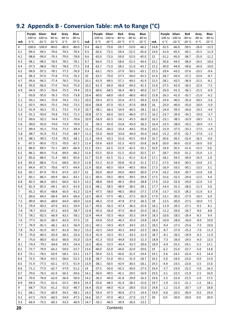# <span id="page-19-0"></span>**9.2 Appendix B - Conversion Table: mA to Range (°C)**

|            | Purple Silver      |                    | Red                | Grey               | Blue               |              | Purple Silver      |                    | Red                | Grey               | Blue               |              | Purple Silver      |                    | Red                | Grey               | Blue               |
|------------|--------------------|--------------------|--------------------|--------------------|--------------------|--------------|--------------------|--------------------|--------------------|--------------------|--------------------|--------------|--------------------|--------------------|--------------------|--------------------|--------------------|
|            | -100 to            | $-100$ to          | $-80$ to           | $-80$ to           | $-80$ to           |              | $-100$ to          | $-100$ to          | $-80$ to           | $-80$ to           | $-80$ to           |              | -100 to            | $-100$ to          | $-80$ to           | $-80$ to           | -80 to             |
| mA         | 0°C                | $-20 °C$           | $-20 °C$           | 0°C                | 20 °C              | mA           | 0 °C               | $-20 °C$           | $-20 °C$           | 0°C                | 20 °C              | mA           | 0°C                | $-20 °C$           | $-20 °C$           | 0 °C               | 20 °C              |
| 4          | $-100.0$           | $-100.0$           | $-80.0$            | $-80.0$            | $-80.0$            | 9.4          | $-66.2$            | $-73.0$            | $-59.7$            | $-53.0$            | $-46.2$            | 14.8         | $-32.5$            | $-46.0$            | $-39.5$            | $-26.0$            | $-12.5$            |
| 4.1        | $-99.4$            | $-99.5$            | $-79.6$            | $-79.5$            | $-79.4$            | 9.5          | $-65.6$            | $-72.5$            | $-59.4$            | $-52.5$            | $-45.6$            | 14.9         | $-31.9$            | $-45.5$            | $-39.1$            | $-25.5$            | $-11.9$            |
| 4.2<br>4.3 | $-98.8$<br>$-98.1$ | $-99.0$<br>$-98.5$ | $-79.3$<br>$-78.9$ | $-79.0$            | $-78.8$            | 9.6<br>9.7   | $-65.0$<br>$-64.4$ | $-72.0$            | $-59.0$            | $-52.0$            | $-45.0$<br>$-44.4$ | 15<br>15.1   | $-31.2$<br>$-30.6$ | $-45.0$<br>$-44.5$ | $-38.7$            | $-25.0$<br>$-24.5$ | $-11.2$            |
| 4.4        | $-97.5$            | $-98.0$            | $-78.5$            | $-78.5$<br>$-78.0$ | $-78.1$<br>$-77.5$ | 9.8          | $-63.7$            | $-71.5$<br>$-71.0$ | $-58.6$<br>$-58.2$ | $-51.5$<br>$-51.0$ | $-43.7$            | 15.2         | $-30.0$            | $-44.0$            | $-38.4$<br>$-38.0$ | $-24.0$            | $-10.6$<br>$-10.0$ |
| 4.5        | $-96.9$            | $-97.5$            | $-78.1$            | $-77.5$            | $-76.9$            | 9.9          | $-63.1$            | $-70.5$            | $-57.9$            | $-50.5$            | $-43.1$            | 15.3         | $-29.4$            | $-43.5$            | $-37.6$            | $-23.5$            | $-9.4$             |
| 4.6        | $-96.3$            | $-97.0$            | $-77.8$            | $-77.0$            | $-76.3$            | 10           | $-62.5$            | $-70.0$            | $-57.5$            | $-50.0$            | $-42.5$            | 15.4         | $-28.7$            | $-43.0$            | $-37.2$            | $-23.0$            | $-8.7$             |
| 4.7        | $-95.6$            | $-96.5$            | $-77.4$            | $-76.5$            | $-75.6$            | 10.1         | $-61.9$            | $-69.5$            | $-57.1$            | $-49.5$            | $-41.9$            | 15.5         | $-28.1$            | $-42.5$            | $-36.9$            | $-22.5$            | $-8.1$             |
| 4.8        | $-95.0$            | $-96.0$            | $-77.0$            | $-76.0$            | $-75.0$            | 10.2         | $-61.3$            | $-69.0$            | $-56.8$            | $-49.0$            | $-41.3$            | 15.6         | $-27.5$            | $-42.0$            | $-36.5$            | $-22.0$            | $-7.5$             |
| 4.9        | $-94.4$            | $-95.5$            | $-76.6$            | $-75.5$            | $-74.4$            | 10.3         | $-60.6$            | $-68.5$            | $-56.4$            | $-48.5$            | $-40.6$            | 15.7         | $-26.9$            | $-41.5$            | $-36.1$            | $-21.5$            | $-6.9$             |
| 5          | $-93.8$            | $-95.0$            | $-76.3$            | $-75.0$            | $-73.8$            | 10.4         | $-60.0$            | $-68.0$            | $-56.0$            | $-48.0$            | $-40.0$            | 15.8         | $-26.2$            | $-41.0$            | $-35.7$            | $-21.0$            | $-6.2$             |
| 5.1        | $-93.1$            | $-94.5$            | $-75.9$            | $-74.5$            | $-73.1$            | 10.5         | $-59.4$            | $-67.5$            | $-55.6$            | $-47.5$            | $-39.4$            | 15.9         | $-25.6$            | $-40.5$            | $-35.4$            | -20.5              | $-5.6$             |
| 5.2        | $-92.5$            | $-94.0$            | $-75.5$            | $-74.0$            | $-72.5$            | 10.6         | $-58.8$            | $-67.0$            | $-55.3$            | $-47.0$            | $-38.8$            | 16           | $-25.0$            | $-40.0$            | $-35.0$            | $-20.0$            | $-5.0$             |
| 5.3        | $-91.9$            | $-93.5$            | $-75.1$            | $-73.5$            | $-71.9$            | 10.7         | $-58.1$            | $-66.5$            | $-54.9$            | $-46.5$            | $-38.1$            | 16.1         | $-24.4$            | $-39.5$            | $-34.6$            | $-19.5$            | $-4.4$             |
| 5.4        | $-91.2$            | $-93.0$            | $-74.8$            | $-73.0$            | $-71.2$            | 10.8         | $-57.5$            | $-66.0$            | $-54.5$            | $-46.0$            | $-37.5$            | 16.2         | $-23.7$            | $-39.0$            | $-34.2$            | $-19.0$            | $-3.7$             |
| 5.5        | $-90.6$            | $-92.5$            | $-74.4$            | $-72.5$            | $-70.6$            | 10.9         | $-56.9$            | $-65.5$            | $-54.1$            | $-45.5$            | $-36.9$            | 16.3         | $-23.1$            | $-38.5$            | $-33.9$            | $-18.5$            | $-3.1$             |
| 5.6        | $-90.0$            | $-92.0$            | $-74.0$            | $-72.0$            | $-70.0$            | $11\,$       | $-56.3$            | $-65.0$            | $-53.8$            | $-45.0$            | $-36.3$            | 16.4         | $-22.5$            | $-38.0$            | $-33.5$            | $-18.0$            | $-2.5$             |
| 5.7        | $-89.4$            | $-91.5$            | $-73.6$            | $-71.5$            | $-69.4$            | 11.1         | $-55.6$            | $-64.5$            | $-53.4$            | $-44.5$            | $-35.6$            | 16.5         | $-21.9$            | $-37.5$            | $-33.1$            | $-17.5$            | $-1.9$             |
| 5.8        | $-88.7$            | $-91.0$            | $-73.3$            | $-71.0$            | $-68.7$            | 11.2         | $-55.0$            | $-64.0$            | $-53.0$            | $-44.0$            | $-35.0$            | 16.6         | $-21.2$            | $-37.0$            | $-32.7$            | $-17.0$            | $-1.2$             |
| 5.9        | $-88.1$            | $-90.5$            | $-72.9$            | $-70.5$            | $-68.1$            | 11.3         | $-54.4$            | $-63.5$            | $-52.6$            | $-43.5$            | $-34.4$            | 16.7         | $-20.6$            | $-36.5$            | $-32.4$            | $-16.5$            | $-0.6$             |
| 6          | $-87.5$            | $-90.0$            | $-72.5$            | $-70.0$            | $-67.5$            | 11.4         | $-53.8$            | $-63.0$            | $-52.3$            | $-43.0$            | $-33.8$            | 16.8         | $-20.0$            | $-36.0$            | $-32.0$            | $-16.0$            | 0.0                |
| 6.1        | $-86.9$            | $-89.5$            | $-72.1$            | $-69.5$            | $-66.9$            | 11.5         | $-53.1$            | $-62.5$            | $-51.9$            | $-42.5$            | $-33.1$            | 16.9         | $-19.4$            | $-35.5$            | $-31.6$            | $-15.5$            | 0.6                |
| 6.2        | $-86.2$            | $-89.0$            | $-71.8$            | $-69.0$            | $-66.2$            | 11.6         | $-52.5$            | $-62.0$            | $-51.5$            | $-42.0$            | $-32.5$            | 17           | $-18.7$            | $-35.0$            | $-31.2$            | $-15.0$            | 1.3                |
| 6.3        | $-85.6$            | $-88.5$            | $-71.4$            | $-68.5$            | $-65.6$            | 11.7         | $-51.9$            | -61.5              | $-51.1$            | $-41.5$            | $-31.9$            | 17.1         | $-18.1$            | $-34.5$            | $-30.9$            | $-14.5$            | 1.9                |
| 6.4        | $-85.0$            | $-88.0$            | $-71.0$            | $-68.0$            | $-65.0$            | 11.8         | $-51.3$            | $-61.0$            | $-50.8$            | $-41.0$            | $-31.3$            | 17.2         | $-17.5$            | $-34.0$            | $-30.5$            | $-14.0$            | 2.5                |
| 6.5        | $-84.4$            | $-87.5$            | $-70.6$            | $-67.5$            | $-64.4$            | 11.9         | $-50.6$            | $-60.5$            | $-50.4$            | $-40.5$            | $-30.6$            | 17.3         | $-16.9$            | $-33.5$            | $-30.1$            | $-13.5$            | 3.1                |
| 6.6        | $-83.7$            | $-87.0$            | $-70.3$            | $-67.0$            | $-63.7$            | 12           | $-50.0$            | $-60.0$            | $-50.0$            | $-40.0$            | $-30.0$            | 17.4         | $-16.2$            | $-33.0$            | $-29.7$            | $-13.0$            | 3.8                |
| 6.7        | $-83.1$            | $-86.5$            | $-69.9$            | $-66.5$            | $-63.1$            | 12.1         | $-49.4$            | $-59.5$            | $-49.6$            | $-39.5$            | $-29.4$            | 17.5         | $-15.6$            | $-32.5$            | $-29.4$            | $-12.5$            | 4.4                |
| 6.8        | $-82.5$            | $-86.0$            | $-69.5$            | $-66.0$            | $-62.5$            | 12.2         | $-48.8$            | $-59.0$            | $-49.3$            | $-39.0$            | $-28.8$            | 17.6         | $-15.0$            | $-32.0$            | $-29.0$            | $-12.0$            | 5.0                |
| 6.9        | $-81.9$            | $-85.5$            | $-69.1$            | -65.5              | $-61.9$            | 12.3         | $-48.1$            | $-58.5$            | $-48.9$            | $-38.5$            | $-28.1$            | 17.7         | $-14.4$            | $-31.5$            | $-28.6$            | $-11.5$            | 5.6                |
| 7          | $-81.2$            | $-85.0$            | $-68.8$            | $-65.0$            | $-61.2$            | 12.4         | $-47.5$            | $-58.0$            | $-48.5$            | $-38.0$            | $-27.5$            | 17.8         | $-13.7$            | $-31.0$            | $-28.2$            | $-11.0$            | 6.3                |
| 7.1        | $-80.6$            | -84.5              | $-68.4$            | -64.5              | -60.6              | 12.5         | $-46.9$            | -57.5              | -48.1              | $-37.5$            | $-26.9$            | 17.9         | $-13.1$            | -30.5              | $-27.9$            | $-10.5$            | 6.9                |
| 7.2        | $-80.0$            | $-84.0$            | $-68.0$            | $-64.0$            | $-60.0$            | 12.6         | $-46.3$            | $-57.0$            | $-47.8$            | $-37.0$            | $-26.3$            | 18           | $-12.5$            | $-30.0$            | $-27.5$            | $-10.0$            | 7.5                |
| 7.3        | $-79.4$            | $-83.5$            | $-67.6$            | $-63.5$            | $-59.4$            | 12.7         | $-45.6$            | $-56.5$            | $-47.4$            | $-36.5$            | $-25.6$            | 18.1         | $-11.9$            | $-29.5$            | $-27.1$            | $-9.5$             | 8.1                |
| 7.4<br>7.5 | $-78.7$<br>$-78.1$ | $-83.0$<br>$-82.5$ | $-67.2$<br>$-66.9$ | -63.0<br>$-62.5$   | $-58.7$<br>$-58.1$ | 12.8<br>12.9 | $-45.0$<br>$-44.4$ | -56.0<br>$-55.5$   | -47.0<br>$-46.6$   | $-36.0$<br>$-35.5$ | $-25.0$<br>$-24.4$ | 18.2<br>18.3 | $-11.2$<br>$-10.6$ | $-29.0$<br>$-28.5$ | -26.7<br>$-26.4$   | -9.0<br>$-8.5$     | 8.8<br>9.4         |
|            |                    | $-82.0$            | $-66.5$            | $-62.0$            | $-57.5$            | 13           | $-43.8$            | $-55.0$            | $-46.3$            | $-35.0$            | $-23.8$            | 18.4         | $-10.0$            | $-28.0$            | $-26.0$            | $-8.0$             | 10.0               |
| 7.6<br>7.7 | $-77.5$<br>$-76.9$ | $-81.5$            | $-66.1$            | -61.5              | -56.9              | 13.1         | $-43.1$            | -54.5              | $-45.9$            | $-34.5$            | $-23.1$            | 18.5         | $-9.4$             | $-27.5$            | $-25.6$            | $-7.5$             | 10.6               |
| 7.8        | $-76.2$            | $-81.0$            | $-65.7$            | $-61.0$            | $-56.2$            | 13.2         | $-42.5$            | $-54.0$            | $-45.5$            | $-34.0$            | $-22.5$            | 18.6         | $-8.7$             | $-27.0$            | $-25.2$            | $-7.0$             | 11.3               |
| 7.9        | $-75.6$            | $-80.5$            | $-65.4$            | $-60.5$            | $-55.6$            | 13.3         | $-41.9$            | $-53.5$            | $-45.1$            | $-33.5$            | $-21.9$            | 18.7         | $-8.1$             | $-26.5$            | $-24.9$            | $-6.5$             | 11.9               |
| 8          | $-75.0$            | $-80.0$            | $-65.0$            | $-60.0$            | $-55.0$            | 13.4         | $-41.3$            | $-53.0$            | $-44.8$            | $-33.0$            | $-21.3$            | 18.8         | $-7.5$             | $-26.0$            | $-24.5$            | $-6.0$             | 12.5               |
| 8.1        | $-74.4$            | $-79.5$            | $-64.6$            | $-59.5$            | $-54.4$            | 13.5         | $-40.6$            | $-52.5$            | $-44.4$            | $-32.5$            | $-20.6$            | 18.9         | $-6.9$             | $-25.5$            | $-24.1$            | $-5.5$             | 13.1               |
| 8.2        | $-73.7$            | $-79.0$            | $-64.2$            | $-59.0$            | $-53.7$            | 13.6         | $-40.0$            | $-52.0$            | $-44.0$            | $-32.0$            | $-20.0$            | 19           | $-6.2$             | $-25.0$            | $-23.7$            | $-5.0$             | 13.8               |
| 8.3        | $-73.1$            | $-78.5$            | $-63.9$            | $-58.5$            | $-53.1$            | 13.7         | $-39.4$            | -51.5              | $-43.6$            | $-31.5$            | $-19.4$            | 19.1         | $-5.6$             | $-24.5$            | $-23.4$            | $-4.5$             | 14.4               |
| 8.4        | $-72.5$            | $-78.0$            | $-63.5$            | $-58.0$            | $-52.5$            | 13.8         | $-38.7$            | $-51.0$            | $-43.2$            | $-31.0$            | $-18.7$            | 19.2         | $-5.0$             | $-24.0$            | $-23.0$            | $-4.0$             | 15.0               |
| 8.5        | $-71.9$            | $-77.5$            | $-63.1$            | $-57.5$            | $-51.9$            | 13.9         | $-38.1$            | $-50.5$            | $-42.9$            | $-30.5$            | $-18.1$            | 19.3         | $-4.4$             | $-23.5$            | $-22.6$            | $-3.5$             | 15.6               |
| 8.6        | $-71.2$            | $-77.0$            | $-62.7$            | -57.0              | $-51.2$            | 14           | $-37.5$            | $-50.0$            | $-42.5$            | $-30.0$            | $-17.5$            | 19.4         | $-3.7$             | $-23.0$            | $-22.2$            | $-3.0$             | 16.3               |
| 8.7        | $-70.6$            | $-76.5$            | $-62.4$            | $-56.5$            | $-50.6$            | 14.1         | $-36.9$            | $-49.5$            | $-42.1$            | $-29.5$            | $-16.9$            | 19.5         | $-3.1$             | $-22.5$            | $-21.9$            | $-2.5$             | 16.9               |
| 8.8        | $-70.0$            | $-76.0$            | $-62.0$            | $-56.0$            | $-50.0$            | 14.2         | $-36.3$            | $-49.0$            | $-41.8$            | $-29.0$            | $-16.3$            | 19.6         | $-2.5$             | $-22.0$            | $-21.5$            | $-2.0$             | 17.5               |
| 8.9        | $-69.4$            | $-75.5$            | $-61.6$            | -55.5              | $-49.4$            | 14.3         | -35.6              | $-48.5$            | -41.4              | -28.5              | $-15.6$            | 19.7         | $-1.9$             | -21.5              | $-21.1$            | -1.5               | 18.1               |
| 9          | $-68.7$            | $-75.0$            | $-61.2$            | $-55.0$            | $-48.7$            | 14.4         | $-35.0$            | $-48.0$            | $-41.0$            | $-28.0$            | $-15.0$            | 19.8         | $-1.2$             | $-21.0$            | $-20.7$            | $-1.0$             | 18.8               |
| 9.1        | $-68.1$            | $-74.5$            | $-60.9$            | $-54.5$            | $-48.1$            | 14.5         | $-34.4$            | $-47.5$            | $-40.6$            | $-27.5$            | $-14.4$            | 19.9         | $-0.6$             | $-20.5$            | $-20.4$            | $-0.5$             | 19.4               |
| 9.2        | -67.5              | -74.0              | -60.5              | $-54.0$            | -47.5              | 14.6         | $-33.7$            | -47.0              | $-40.2$            | $-27.0$            | $-13.7$            | 20           | 0.0                | $-20.0$            | $-20.0$            | 0.0                | 20.0               |
| 9.3        | $-66.9$            | $-73.5$            | $-60.1$            | $-53.5$            | $-46.9$            | 14.7         | $-33.1$            | $-46.5$            | $-39.9$            | $-26.5$            | $-13.1$            |              |                    |                    |                    |                    |                    |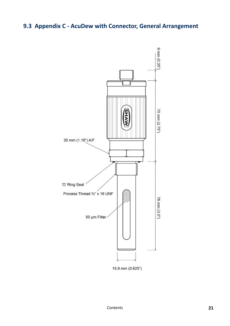# <span id="page-20-0"></span>**9.3 Appendix C - AcuDew with Connector, General Arrangement**

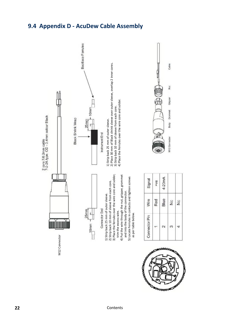### <span id="page-21-0"></span>**9.4 Appendix D - AcuDew Cable Assembly**

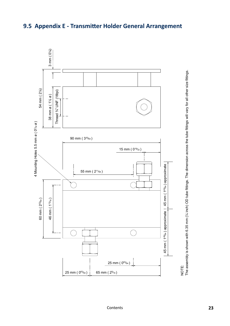

### <span id="page-22-0"></span>**9.5 Appendix E - Transmitter Holder General Arrangement**

The assembly is shown with 6.35 mm (

¼ inch) OD tube fittings. The dimension across the tube fittings will vary for all other size fittings.

[Contents](#page-2-0)